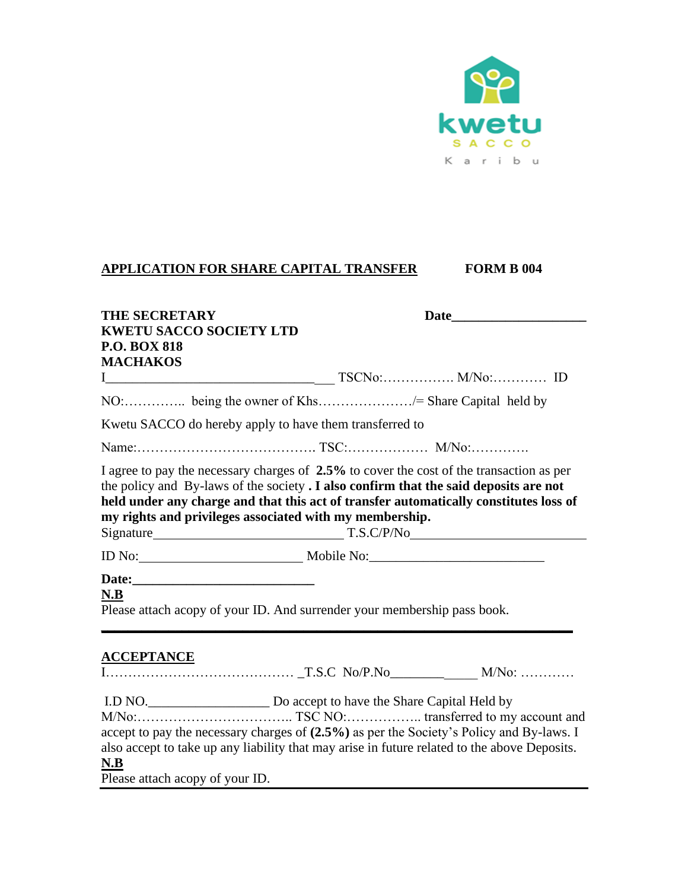

## **APPLICATION FOR SHARE CAPITAL TRANSFER FORM B 004**

| <b>THE SECRETARY</b>                                                                         |                                                                                                                                                                                                                                                                            |  |  |
|----------------------------------------------------------------------------------------------|----------------------------------------------------------------------------------------------------------------------------------------------------------------------------------------------------------------------------------------------------------------------------|--|--|
| <b>KWETU SACCO SOCIETY LTD</b><br><b>P.O. BOX 818</b>                                        |                                                                                                                                                                                                                                                                            |  |  |
| <b>MACHAKOS</b>                                                                              |                                                                                                                                                                                                                                                                            |  |  |
|                                                                                              |                                                                                                                                                                                                                                                                            |  |  |
|                                                                                              |                                                                                                                                                                                                                                                                            |  |  |
| Kwetu SACCO do hereby apply to have them transferred to                                      |                                                                                                                                                                                                                                                                            |  |  |
|                                                                                              |                                                                                                                                                                                                                                                                            |  |  |
| my rights and privileges associated with my membership.                                      | I agree to pay the necessary charges of 2.5% to cover the cost of the transaction as per<br>the policy and By-laws of the society . I also confirm that the said deposits are not<br>held under any charge and that this act of transfer automatically constitutes loss of |  |  |
|                                                                                              |                                                                                                                                                                                                                                                                            |  |  |
| N.B                                                                                          | Please attach acopy of your ID. And surrender your membership pass book.                                                                                                                                                                                                   |  |  |
| <b>ACCEPTANCE</b>                                                                            |                                                                                                                                                                                                                                                                            |  |  |
| also accept to take up any liability that may arise in future related to the above Deposits. | I.D NO. Do accept to have the Share Capital Held by<br>accept to pay the necessary charges of (2.5%) as per the Society's Policy and By-laws. I                                                                                                                            |  |  |